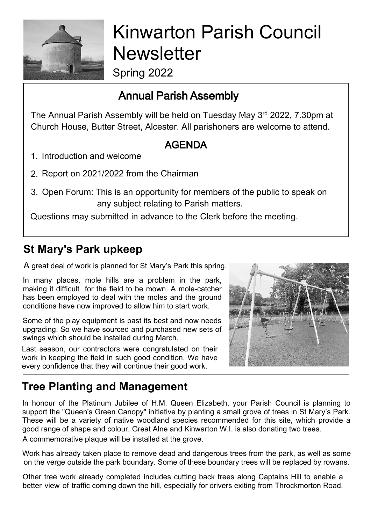

# Kinwarton Parish Council **Newsletter**

Spring 2022

# Annual Parish Assembly

The Annual Parish Assembly will be held on Tuesday May 3rd 2022, 7.30pm at Church House, Butter Street, Alcester. All parishoners are welcome to attend.

### AGENDA

- 1. Introduction and welcome
- 2. Report on 2021/2022 from the Chairman
- 3. Open Forum: This is an opportunity for members of the public to speak on any subject relating to Parish matters.

Questions may submitted in advance to the Clerk before the meeting.

# **St Mary's Park upkeep**

A great deal of work is planned for St Mary's Park this spring.

In many places, mole hills are a problem in the park, making it difficult for the field to be mown. A mole-catcher has been employed to deal with the moles and the ground conditions have now improved to allow him to start work.

Some of the play equipment is past its best and now needs upgrading. So we have sourced and purchased new sets of swings which should be installed during March.

Last season, our contractors were congratulated on their work in keeping the field in such good condition. We have every confidence that they will continue their good work.



### **Tree Planting and Management**

In honour of the Platinum Jubilee of H.M. Queen Elizabeth, your Parish Council is planning to support the "Queen's Green Canopy" initiative by planting a small grove of trees in St Mary's Park. These will be a variety of native woodland species recommended for this site, which provide a good range of shape and colour. Great Alne and Kinwarton W.I. is also donating two trees. A commemorative plaque will be installed at the grove.

Work has already taken place to remove dead and dangerous trees from the park, as well as some on the verge outside the park boundary. Some of these boundary trees will be replaced by rowans.

Other tree work already completed includes cutting back trees along Captains Hill to enable a better view of traffic coming down the hill, especially for drivers exiting from Throckmorton Road.